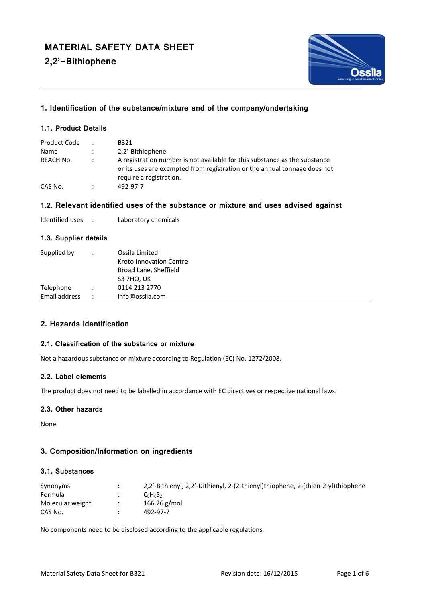**2,2'-Bithiophene**



# **1. Identification of the substance/mixture and of the company/undertaking**

## **1.1. Product Details**

| Product Code | $\ddot{\phantom{0}}$ | B321                                                                                                                                                                               |
|--------------|----------------------|------------------------------------------------------------------------------------------------------------------------------------------------------------------------------------|
| Name         |                      | 2,2'-Bithiophene                                                                                                                                                                   |
| REACH No.    |                      | A registration number is not available for this substance as the substance<br>or its uses are exempted from registration or the annual tonnage does not<br>require a registration. |
| CAS No.      | ٠                    | 492-97-7                                                                                                                                                                           |

## **1.2. Relevant identified uses of the substance or mixture and uses advised against**

| Identified uses |  | Laboratory chemicals |
|-----------------|--|----------------------|
|-----------------|--|----------------------|

# **1.3. Supplier details**

| Supplied by   | Ossila Limited |                         |  |
|---------------|----------------|-------------------------|--|
|               |                | Kroto Innovation Centre |  |
|               |                | Broad Lane, Sheffield   |  |
|               |                | S3 7HQ, UK              |  |
| Telephone     | $\ddot{\cdot}$ | 0114 213 2770           |  |
| Email address |                | info@ossila.com         |  |

## **2. Hazards identification**

## **2.1. Classification of the substance or mixture**

Not a hazardous substance or mixture according to Regulation (EC) No. 1272/2008.

## **2.2. Label elements**

The product does not need to be labelled in accordance with EC directives or respective national laws.

## **2.3. Other hazards**

None.

# **3. Composition/Information on ingredients**

## **3.1. Substances**

| Synonyms         | 2.2'-Bithienyl, 2.2'-Dithienyl, 2-(2-thienyl)thiophene, 2-(thien-2-yl)thiophene |
|------------------|---------------------------------------------------------------------------------|
| Formula          | $C_8H_6S_2$                                                                     |
| Molecular weight | 166.26 $g/mol$                                                                  |
| CAS No.          | 492-97-7                                                                        |

No components need to be disclosed according to the applicable regulations.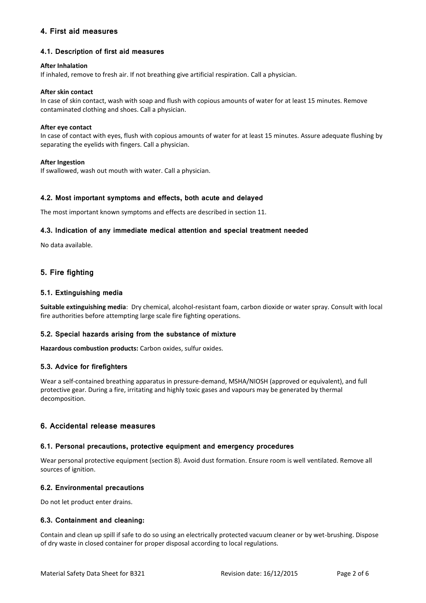# **4. First aid measures**

## **4.1. Description of first aid measures**

### **After Inhalation**

If inhaled, remove to fresh air. If not breathing give artificial respiration. Call a physician.

### **After skin contact**

In case of skin contact, wash with soap and flush with copious amounts of water for at least 15 minutes. Remove contaminated clothing and shoes. Call a physician.

### **After eye contact**

In case of contact with eyes, flush with copious amounts of water for at least 15 minutes. Assure adequate flushing by separating the eyelids with fingers. Call a physician.

## **After Ingestion**

If swallowed, wash out mouth with water. Call a physician.

## **4.2. Most important symptoms and effects, both acute and delayed**

The most important known symptoms and effects are described in section 11.

## **4.3. Indication of any immediate medical attention and special treatment needed**

No data available.

# **5. Fire fighting**

## **5.1. Extinguishing media**

**Suitable extinguishing media**: Dry chemical, alcohol-resistant foam, carbon dioxide or water spray. Consult with local fire authorities before attempting large scale fire fighting operations.

## **5.2. Special hazards arising from the substance of mixture**

**Hazardous combustion products:** Carbon oxides, sulfur oxides.

## **5.3. Advice for firefighters**

Wear a self-contained breathing apparatus in pressure-demand, MSHA/NIOSH (approved or equivalent), and full protective gear. During a fire, irritating and highly toxic gases and vapours may be generated by thermal decomposition.

## **6. Accidental release measures**

## **6.1. Personal precautions, protective equipment and emergency procedures**

Wear personal protective equipment (section 8). Avoid dust formation. Ensure room is well ventilated. Remove all sources of ignition.

## **6.2. Environmental precautions**

Do not let product enter drains.

## **6.3. Containment and cleaning:**

Contain and clean up spill if safe to do so using an electrically protected vacuum cleaner or by wet-brushing. Dispose of dry waste in closed container for proper disposal according to local regulations.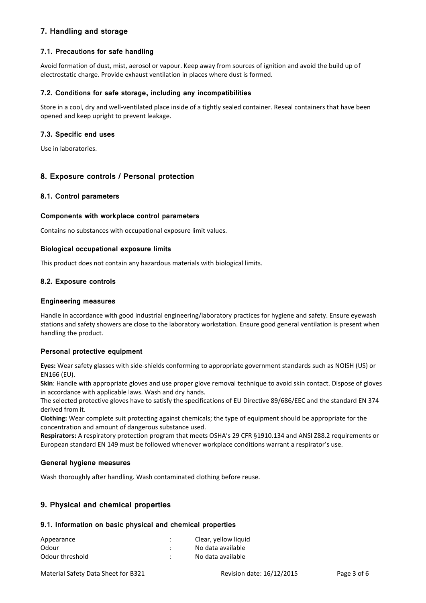# **7. Handling and storage**

## **7.1. Precautions for safe handling**

Avoid formation of dust, mist, aerosol or vapour. Keep away from sources of ignition and avoid the build up of electrostatic charge. Provide exhaust ventilation in places where dust is formed.

## **7.2. Conditions for safe storage, including any incompatibilities**

Store in a cool, dry and well-ventilated place inside of a tightly sealed container. Reseal containers that have been opened and keep upright to prevent leakage.

## **7.3. Specific end uses**

Use in laboratories.

## **8. Exposure controls / Personal protection**

## **8.1. Control parameters**

## **Components with workplace control parameters**

Contains no substances with occupational exposure limit values.

#### **Biological occupational exposure limits**

This product does not contain any hazardous materials with biological limits.

## **8.2. Exposure controls**

#### **Engineering measures**

Handle in accordance with good industrial engineering/laboratory practices for hygiene and safety. Ensure eyewash stations and safety showers are close to the laboratory workstation. Ensure good general ventilation is present when handling the product.

## **Personal protective equipment**

**Eyes:** Wear safety glasses with side-shields conforming to appropriate government standards such as NOISH (US) or EN166 (EU).

**Skin**: Handle with appropriate gloves and use proper glove removal technique to avoid skin contact. Dispose of gloves in accordance with applicable laws. Wash and dry hands.

The selected protective gloves have to satisfy the specifications of EU Directive 89/686/EEC and the standard EN 374 derived from it.

**Clothing:** Wear complete suit protecting against chemicals; the type of equipment should be appropriate for the concentration and amount of dangerous substance used.

**Respirators:** A respiratory protection program that meets OSHA's 29 CFR §1910.134 and ANSI Z88.2 requirements or European standard EN 149 must be followed whenever workplace conditions warrant a respirator's use.

#### **General hygiene measures**

Wash thoroughly after handling. Wash contaminated clothing before reuse.

# **9. Physical and chemical properties**

## **9.1. Information on basic physical and chemical properties**

| Appearance      | Clear, yellow liquid |
|-----------------|----------------------|
| Odour           | No data available    |
| Odour threshold | No data available    |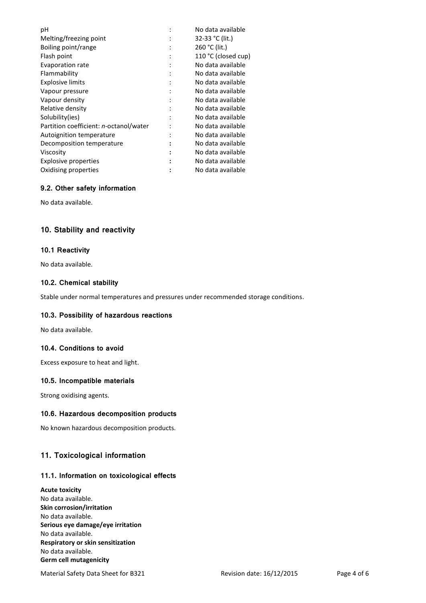|   | No data available   |
|---|---------------------|
|   | 32-33 °C (lit.)     |
|   | 260 °C (lit.)       |
|   | 110 °C (closed cup) |
|   | No data available   |
| ٠ | No data available   |
| ٠ | No data available   |
|   | No data available   |
|   | No data available   |
|   | No data available   |
|   | No data available   |
|   | No data available   |
|   | No data available   |
|   | No data available   |
| : | No data available   |
|   | No data available   |
|   | No data available   |
|   |                     |

## **9.2. Other safety information**

No data available.

# **10. Stability and reactivity**

## **10.1 Reactivity**

No data available.

## **10.2. Chemical stability**

Stable under normal temperatures and pressures under recommended storage conditions.

## **10.3. Possibility of hazardous reactions**

No data available.

## **10.4. Conditions to avoid**

Excess exposure to heat and light.

## **10.5. Incompatible materials**

Strong oxidising agents.

## **10.6. Hazardous decomposition products**

No known hazardous decomposition products.

# **11. Toxicological information**

## **11.1. Information on toxicological effects**

#### **Acute toxicity**

No data available. **Skin corrosion/irritation** No data available. **Serious eye damage/eye irritation** No data available. **Respiratory or skin sensitization** No data available. **Germ cell mutagenicity**

Material Safety Data Sheet for B321 Revision date: 16/12/2015 Page 4 of 6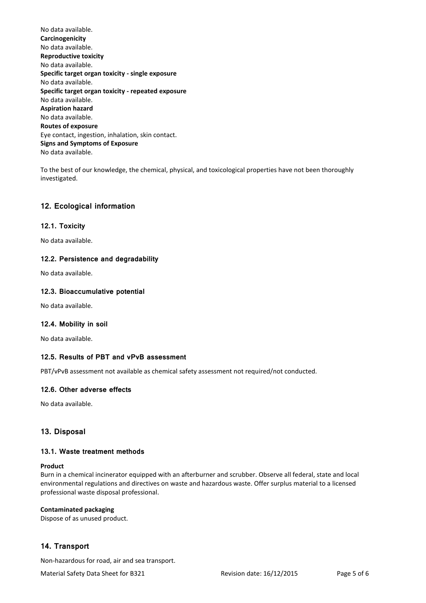No data available. **Carcinogenicity** No data available. **Reproductive toxicity** No data available. **Specific target organ toxicity - single exposure** No data available. **Specific target organ toxicity - repeated exposure** No data available. **Aspiration hazard** No data available. **Routes of exposure** Eye contact, ingestion, inhalation, skin contact. **Signs and Symptoms of Exposure** No data available.

To the best of our knowledge, the chemical, physical, and toxicological properties have not been thoroughly investigated.

# **12. Ecological information**

## **12.1. Toxicity**

No data available.

## **12.2. Persistence and degradability**

No data available.

## **12.3. Bioaccumulative potential**

No data available.

## **12.4. Mobility in soil**

No data available.

## **12.5. Results of PBT and vPvB assessment**

PBT/vPvB assessment not available as chemical safety assessment not required/not conducted.

## **12.6. Other adverse effects**

No data available.

## **13. Disposal**

## **13.1. Waste treatment methods**

#### **Product**

Burn in a chemical incinerator equipped with an afterburner and scrubber. Observe all federal, state and local environmental regulations and directives on waste and hazardous waste. Offer surplus material to a licensed professional waste disposal professional.

## **Contaminated packaging**

Dispose of as unused product.

## **14. Transport**

Non-hazardous for road, air and sea transport.

Material Safety Data Sheet for B321 Revision date: 16/12/2015 Page 5 of 6